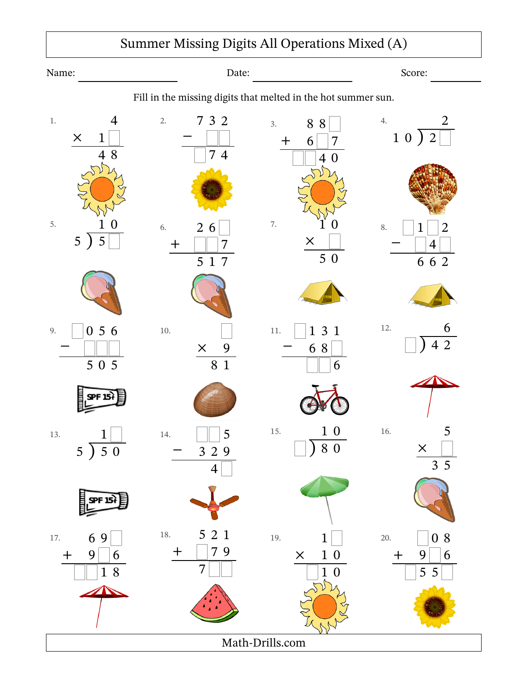## Summer Missing Digits All Operations Mixed (A)